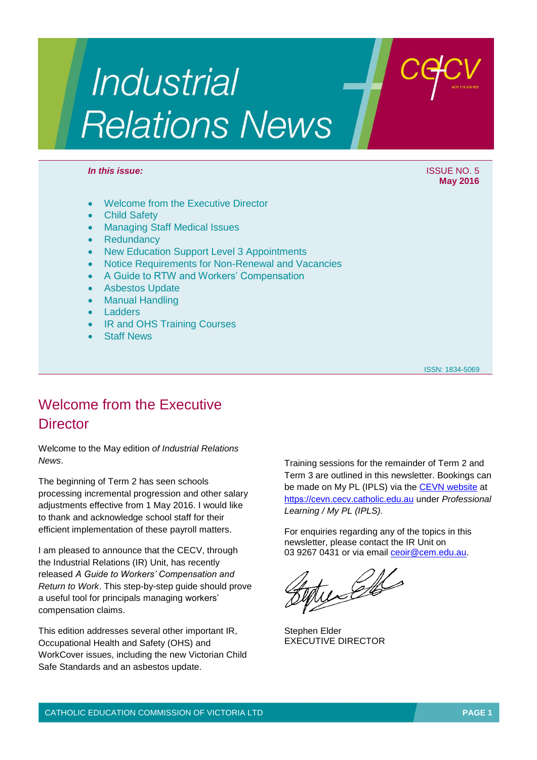# **Industrial Relations News**

#### *In this issue:* In this issue: ISSUE NO. 5

- Welcome from the Executive Director
- Child Safety
- Managing Staff Medical Issues
- **Redundancy**
- New Education Support Level 3 Appointments
- Notice Requirements for Non-Renewal and Vacancies
- A Guide to RTW and Workers' Compensation
- Asbestos Update
- Manual Handling
- Ladders
- IR and OHS Training Courses
- Staff News

ISSN: 1834-5069

## Welcome from the Executive **Director**

Welcome to the May edition *of Industrial Relations News*.

The beginning of Term 2 has seen schools processing incremental progression and other salary adjustments effective from 1 May 2016. I would like to thank and acknowledge school staff for their efficient implementation of these payroll matters.

I am pleased to announce that the CECV, through the Industrial Relations (IR) Unit, has recently released *A Guide to Workers' Compensation and Return to Work*. This step-by-step guide should prove a useful tool for principals managing workers' compensation claims.

This edition addresses several other important IR, Occupational Health and Safety (OHS) and WorkCover issues, including the new Victorian Child Safe Standards and an asbestos update.

Training sessions for the remainder of Term 2 and Term 3 are outlined in this newsletter. Bookings can be made on My PL (IPLS) via the [CEVN website](https://cevn.cecv.catholic.edu.au) at https[://cevn.cecv.catholic.edu.au](https://cevn.cecv.catholic.edu.au/) under *Professional Learning / My PL (IPLS).*

For enquiries regarding any of the topics in this newsletter, please contact the IR Unit on 03 9267 0431 or via email [ceoir@cem.edu.au.](mailto:ceoir@cem.edu.au)

te Elle

Stephen Elder EXECUTIVE DIRECTOR

# **May 2016**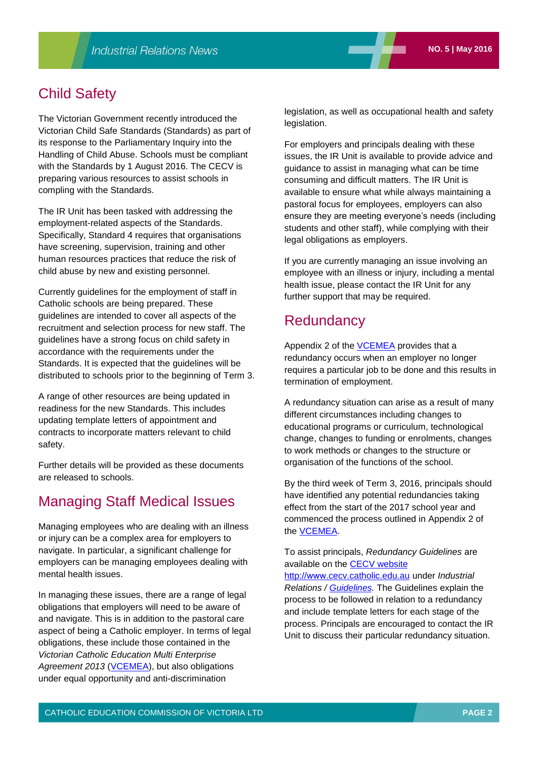## Child Safety

The Victorian Government recently introduced the Victorian Child Safe Standards (Standards) as part of its response to the Parliamentary Inquiry into the Handling of Child Abuse. Schools must be compliant with the Standards by 1 August 2016. The CECV is preparing various resources to assist schools in compling with the Standards.

The IR Unit has been tasked with addressing the employment-related aspects of the Standards. Specifically, Standard 4 requires that organisations have screening, supervision, training and other human resources practices that reduce the risk of child abuse by new and existing personnel.

Currently guidelines for the employment of staff in Catholic schools are being prepared. These guidelines are intended to cover all aspects of the recruitment and selection process for new staff. The guidelines have a strong focus on child safety in accordance with the requirements under the Standards. It is expected that the guidelines will be distributed to schools prior to the beginning of Term 3.

A range of other resources are being updated in readiness for the new Standards. This includes updating template letters of appointment and contracts to incorporate matters relevant to child safety.

Further details will be provided as these documents are released to schools.

## Managing Staff Medical Issues

Managing employees who are dealing with an illness or injury can be a complex area for employers to navigate. In particular, a significant challenge for employers can be managing employees dealing with mental health issues.

In managing these issues, there are a range of legal obligations that employers will need to be aware of and navigate. This is in addition to the pastoral care aspect of being a Catholic employer. In terms of legal obligations, these include those contained in the *Victorian Catholic Education Multi Enterprise*  Agreement 2013 [\(VCEMEA\)](http://www.cecv.catholic.edu.au/vcsa/Agreement_2013/VCEMEA_2013.pdf), but also obligations under equal opportunity and anti-discrimination

legislation, as well as occupational health and safety legislation.

For employers and principals dealing with these issues, the IR Unit is available to provide advice and guidance to assist in managing what can be time consuming and difficult matters. The IR Unit is available to ensure what while always maintaining a pastoral focus for employees, employers can also ensure they are meeting everyone's needs (including students and other staff), while complying with their legal obligations as employers.

If you are currently managing an issue involving an employee with an illness or injury, including a mental health issue, please contact the IR Unit for any further support that may be required.

## **Redundancy**

Appendix 2 of the **VCEMEA** provides that a redundancy occurs when an employer no longer requires a particular job to be done and this results in termination of employment.

A redundancy situation can arise as a result of many different circumstances including changes to educational programs or curriculum, technological change, changes to funding or enrolments, changes to work methods or changes to the structure or organisation of the functions of the school.

By the third week of Term 3, 2016, principals should have identified any potential redundancies taking effect from the start of the 2017 school year and commenced the process outlined in Appendix 2 of the [VCEMEA.](http://www.cecv.catholic.edu.au/vcsa/Agreement_2013/VCEMEA_2013.pdf) 

To assist principals, *Redundancy Guidelines* are available on the [CECV website](http://www.cecv.catholic.edu.au/)

http://www.[cecv.catholic.ed](http://www.cecv.catholic.edu.au/)u.au under *Industrial Relations / [Guidelines.](http://www.cecv.catholic.edu.au/vcsa/guidelines/guideindex.htm)* The Guidelines explain the process to be followed in relation to a redundancy and include template letters for each stage of the process. Principals are encouraged to contact the IR Unit to discuss their particular redundancy situation.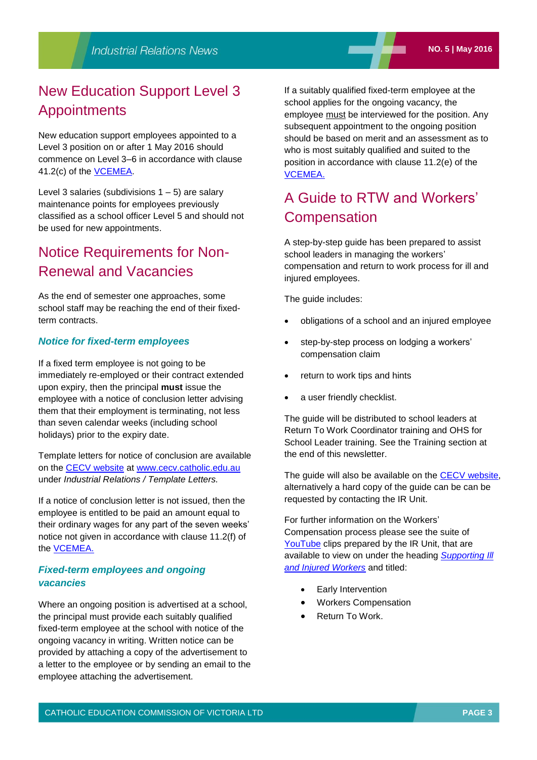# New Education Support Level 3 Appointments

New education support employees appointed to a Level 3 position on or after 1 May 2016 should commence on Level 3–6 in accordance with clause 41.2(c) of the [VCEMEA.](http://www.cecv.catholic.edu.au/vcsa/Agreement_2013/VCEMEA_2013.pdf)

Level 3 salaries (subdivisions  $1 - 5$ ) are salary maintenance points for employees previously classified as a school officer Level 5 and should not be used for new appointments.

## Notice Requirements for Non-Renewal and Vacancies

As the end of semester one approaches, some school staff may be reaching the end of their fixedterm contracts.

## *Notice for fixed-term employees*

If a fixed term employee is not going to be immediately re-employed or their contract extended upon expiry, then the principal **must** issue the employee with a notice of conclusion letter advising them that their employment is terminating, not less than seven calendar weeks (including school holidays) prior to the expiry date.

Template letters for notice of conclusion are available on the [CECV website](http://www.cecv.catholic.edu.au/) at [www.cecv.catholic.edu.au](http://www.cecv.catholic.edu.au/)  under *Industrial Relations / Template Letters.*

If a notice of conclusion letter is not issued, then the employee is entitled to be paid an amount equal to their ordinary wages for any part of the seven weeks' notice not given in accordance with clause 11.2(f) of the [VCEMEA.](http://web.cecv.catholic.edu.au/vcsa/Agreement_2013/VCEMEA_2013.pdf)

## *Fixed-term employees and ongoing vacancies*

Where an ongoing position is advertised at a school, the principal must provide each suitably qualified fixed-term employee at the school with notice of the ongoing vacancy in writing. Written notice can be provided by attaching a copy of the advertisement to a letter to the employee or by sending an email to the employee attaching the advertisement.

If a suitably qualified fixed-term employee at the school applies for the ongoing vacancy, the employee must be interviewed for the position. Any subsequent appointment to the ongoing position should be based on merit and an assessment as to who is most suitably qualified and suited to the position in accordance with clause 11.2(e) of the [VCEMEA.](http://web.cecv.catholic.edu.au/vcsa/Agreement_2013/VCEMEA_2013.pdf)

# A Guide to RTW and Workers' **Compensation**

A step-by-step guide has been prepared to assist school leaders in managing the workers' compensation and return to work process for ill and injured employees.

The guide includes:

- obligations of a school and an injured employee
- step-by-step process on lodging a workers' compensation claim
- return to work tips and hints
- a user friendly checklist.

The guide will be distributed to school leaders at Return To Work Coordinator training and OHS for School Leader training. See the Training section at the end of this newsletter.

The quide will also be available on the [CECV website,](http://www.cecv.catholic.edu.au/) alternatively a hard copy of the guide can be can be requested by contacting the IR Unit.

For further information on the Workers' Compensation process please see the suite of [YouTube](https://www.youtube.com/channel/UCf5PRklmONvW1eNf90o3O8w) clips prepared by the IR Unit, that are available to view on under the heading *[Supporting Ill](https://www.youtube.com/playlist?list=PLgr2JCQPTJzKczKCU6qQ8-aDFKYuzVWq8)  [and Injured Workers](https://www.youtube.com/playlist?list=PLgr2JCQPTJzKczKCU6qQ8-aDFKYuzVWq8)* and titled:

- Early Intervention
- Workers Compensation
- Return To Work.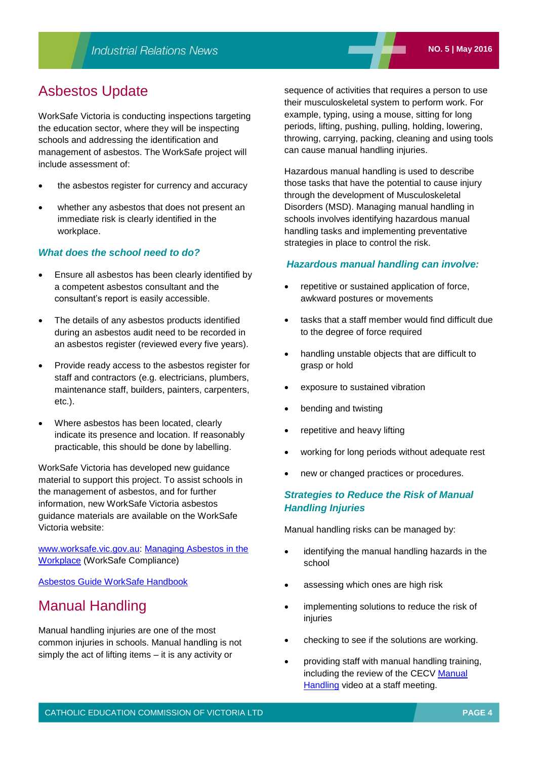## Asbestos Update

WorkSafe Victoria is conducting inspections targeting the education sector, where they will be inspecting schools and addressing the identification and management of asbestos. The WorkSafe project will include assessment of:

- the asbestos register for currency and accuracy
- whether any asbestos that does not present an immediate risk is clearly identified in the workplace.

## *What does the school need to do?*

- Ensure all asbestos has been clearly identified by a competent asbestos consultant and the consultant's report is easily accessible.
- The details of any asbestos products identified during an asbestos audit need to be recorded in an asbestos register (reviewed every five years).
- Provide ready access to the asbestos register for staff and contractors (e.g. electricians, plumbers, maintenance staff, builders, painters, carpenters, etc.).
- Where asbestos has been located, clearly indicate its presence and location. If reasonably practicable, this should be done by labelling.

WorkSafe Victoria has developed new guidance material to support this project. To assist schools in the management of asbestos, and for further information, new WorkSafe Victoria asbestos guidance materials are available on the WorkSafe Victoria website:

[www.worksafe.vic.gov.au:](http://www.worksafe.vic.gov.au/) [Managing Asbestos in the](http://www.worksafe.vic.gov.au/__data/assets/pdf_file/0017/9233/Managing_Asbestos_CC.pdf)  [Workplace](http://www.worksafe.vic.gov.au/__data/assets/pdf_file/0017/9233/Managing_Asbestos_CC.pdf) (WorkSafe Compliance)

[Asbestos Guide WorkSafe Handbook](http://www.worksafe.vic.gov.au/__data/assets/pdf_file/0006/9870/Asbestos_Handbook.pdf)

## Manual Handling

Manual handling injuries are one of the most common injuries in schools. Manual handling is not simply the act of lifting items – it is any activity or

sequence of activities that requires a person to use their musculoskeletal system to perform work. For example, typing, using a mouse, sitting for long periods, lifting, pushing, pulling, holding, lowering, throwing, carrying, packing, cleaning and using tools can cause manual handling injuries.

Hazardous manual handling is used to describe those tasks that have the potential to cause injury through the development of Musculoskeletal Disorders (MSD). Managing manual handling in schools involves identifying hazardous manual handling tasks and implementing preventative strategies in place to control the risk.

#### *Hazardous manual handling can involve:*

- repetitive or sustained application of force, awkward postures or movements
- tasks that a staff member would find difficult due to the degree of force required
- handling unstable objects that are difficult to grasp or hold
- exposure to sustained vibration
- bending and twisting
- repetitive and heavy lifting
- working for long periods without adequate rest
- new or changed practices or procedures.

## *Strategies to Reduce the Risk of Manual Handling Injuries*

Manual handling risks can be managed by:

- identifying the manual handling hazards in the school
- assessing which ones are high risk
- implementing solutions to reduce the risk of injuries
- checking to see if the solutions are working.
- providing staff with manual handling training, including the review of the CECV [Manual](https://www.youtube.com/watch?v=UD5Vm_oo3Y8) **[Handling](https://www.youtube.com/watch?v=UD5Vm_oo3Y8) video at a staff meeting.**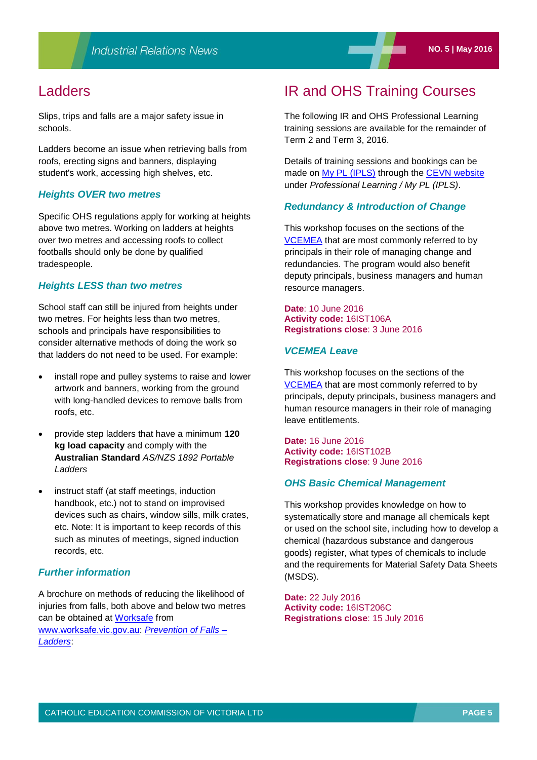## Ladders

Slips, trips and falls are a major safety issue in schools.

Ladders become an issue when retrieving balls from roofs, erecting signs and banners, displaying student's work, accessing high shelves, etc.

## *Heights OVER two metres*

Specific OHS regulations apply for working at heights above two metres. Working on ladders at heights over two metres and accessing roofs to collect footballs should only be done by qualified tradespeople.

#### *Heights LESS than two metres*

School staff can still be injured from heights under two metres. For heights less than two metres, schools and principals have responsibilities to consider alternative methods of doing the work so that ladders do not need to be used. For example:

- install rope and pulley systems to raise and lower artwork and banners, working from the ground with long-handled devices to remove balls from roofs, etc.
- provide step ladders that have a minimum **120 kg load capacity** and comply with the **Australian Standard** *AS/NZS 1892 Portable Ladders*
- instruct staff (at staff meetings, induction handbook, etc.) not to stand on improvised devices such as chairs, window sills, milk crates, etc. Note: It is important to keep records of this such as minutes of meetings, signed induction records, etc.

## *Further information*

A brochure on methods of reducing the likelihood of injuries from falls, both above and below two metres can be obtained at [Worksafe](../../../../CEOMData/Industrial%20Relations/IR%20Newsletters/2016/May/www.worksafe.vic.gov.au) from [www.worksafe.vic.gov.au:](http://www.worksafe.vic.gov.au/) *[Prevention of Falls –](http://www.worksafe.vic.gov.au/forms-and-publications/forms-and-publications/prevention-of-falls-ladders) [Ladders](http://www.worksafe.vic.gov.au/forms-and-publications/forms-and-publications/prevention-of-falls-ladders)*:

## IR and OHS Training Courses

The following IR and OHS Professional Learning training sessions are available for the remainder of Term 2 and Term 3, 2016.

Details of training sessions and bookings can be made on [My PL \(IPLS\)](http://cevn.cecv.catholic.edu.au/ProfessionalLearning.aspx?id=7160) through the [CEVN website](https://cevn.cecv.catholic.edu.au) under *Professional Learning / My PL (IPLS)*.

## *Redundancy & Introduction of Change*

This workshop focuses on the sections of the [VCEMEA](http://web.cecv.catholic.edu.au/vcsa/Agreement_2013/VCEMEA_2013.pdf) that are most commonly referred to by principals in their role of managing change and redundancies. The program would also benefit deputy principals, business managers and human resource managers.

#### **Date**: 10 June 2016 **Activity code:** 16IST106A **Registrations close**: 3 June 2016

## *VCEMEA Leave*

This workshop focuses on the sections of the [VCEMEA](http://web.cecv.catholic.edu.au/vcsa/Agreement_2013/VCEMEA_2013.pdf) that are most commonly referred to by principals, deputy principals, business managers and human resource managers in their role of managing leave entitlements.

**Date:** 16 June 2016 **Activity code:** 16IST102B **Registrations close**: 9 June 2016

#### *OHS Basic Chemical Management*

This workshop provides knowledge on how to systematically store and manage all chemicals kept or used on the school site, including how to develop a chemical (hazardous substance and dangerous goods) register, what types of chemicals to include and the requirements for Material Safety Data Sheets (MSDS).

**Date:** 22 July 2016 **Activity code:** 16IST206C **Registrations close**: 15 July 2016